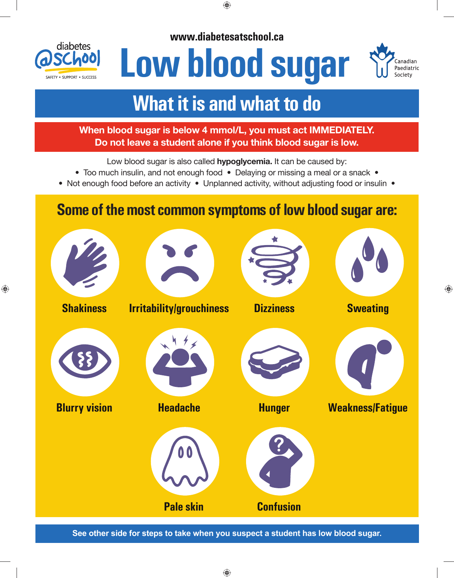

**www.diabetesatschool.ca**

# **Low blood sugar**



## **What it is and what to do**

### **When blood sugar is below 4 mmol/L, you must act IMMEDIATELY. Do not leave a student alone if you think blood sugar is low.**

Low blood sugar is also called **hypoglycemia.** It can be caused by:

- Too much insulin, and not enough food Delaying or missing a meal or a snack •
- Not enough food before an activity Unplanned activity, without adjusting food or insulin •

## **Some of the most common symptoms of low blood sugar are:**



**See other side for steps to take when you suspect a student has low blood sugar.**